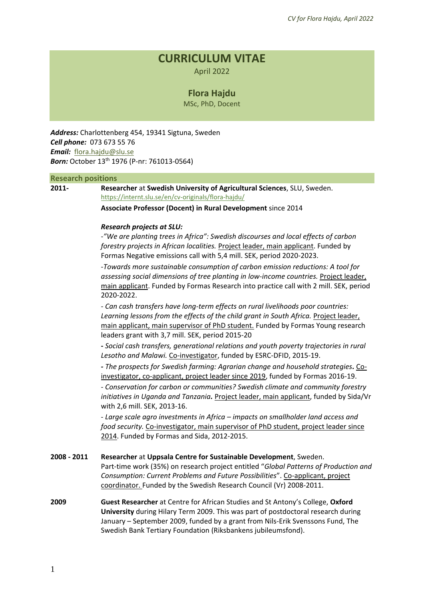# **CURRICULUM VITAE**

April 2022

# **Flora Hajdu**

MSc, PhD, Docent

*Address:* Charlottenberg 454, 19341 Sigtuna, Sweden *Cell phone:* 073 673 55 76 *Email:* [flora.hajdu@slu.se](mailto:flora.hajdu@slu.se) *Born:* October 13th 1976 (P-nr: 761013-0564)

#### **Research positions**

**2011- Researcher** at **Swedish University of Agricultural Sciences**, SLU, Sweden. <https://internt.slu.se/en/cv-originals/flora-hajdu/>

**Associate Professor (Docent) in Rural Development** since 2014

#### *Research projects at SLU:*

-*["We are planting trees in Africa": Swedish discourses and local effects o](https://www.slu.se/en/departments/urban-rural-development/research/rural-development/ongoing-projects/trees-in-africa/)f carbon [forestry projects in African localities.](https://www.slu.se/en/departments/urban-rural-development/research/rural-development/ongoing-projects/trees-in-africa/)* Project leader, main applicant. Funded by Formas Negative emissions call with 5,4 mill. SEK, period 2020-2023.

-*[Towards more sustainable consumption of carbon emission reductions: A tool for](https://www.slu.se/en/departments/urban-rural-development/research/rural-development/ongoing-projects/sustainable-consumption-of-carbon-emission-reductions/)  [assessing social dimensions of tree planting in low-income countries.](https://www.slu.se/en/departments/urban-rural-development/research/rural-development/ongoing-projects/sustainable-consumption-of-carbon-emission-reductions/)* Project leader, main applicant. Funded by Formas Research into practice call with 2 mill. SEK, period 2020-2022.

*- Can cash transfers have long-term effects on rural livelihoods poor countries:*  Learning lessons from the effects of the child grant in South Africa. Project leader, main applicant, main supervisor of PhD student. Funded by Formas Young research leaders grant with 3,7 mill. SEK, period 2015-20

**-** *Social cash transfers, generational relations and youth poverty trajectories in rural Lesotho and Malawi.* Co-investigator, funded by ESRC-DFID, 2015-19.

*- [The prospects for Swedish farming: Agrarian change and household strategies](http://www.slu.se/en/departments/urban-rural-development/research/rural-development/projects/prospects/).* Coinvestigator, co-applicant, project leader since 2019, funded by Formas 2016-19. *- Conservation for carbon or communities? Swedish climate and community forestry initiatives in Uganda and Tanzania.* Project leader, main applicant, funded by Sida/Vr with 2,6 mill. SEK, 2013-16.

- *Large scale agro investments in Africa – impacts on smallholder land access and food security.* Co-investigator, main supervisor of PhD student, project leader since 2014. Funded by Formas and Sida, 2012-2015.

**2008 - 2011 Researcher** at **Uppsala Centre for Sustainable Development**, Sweden. Part-time work (35%) on research project entitled "*Global Patterns of Production and Consumption: Current Problems and Future Possibilities*". Co-applicant, project coordinator. Funded by the Swedish Research Council (Vr) 2008-2011.

**2009 Guest Researcher** at Centre for African Studies and St Antony's College, **Oxford University** during Hilary Term 2009. This was part of postdoctoral research during January – September 2009, funded by a grant from Nils-Erik Svenssons Fund, The Swedish Bank Tertiary Foundation (Riksbankens jubileumsfond).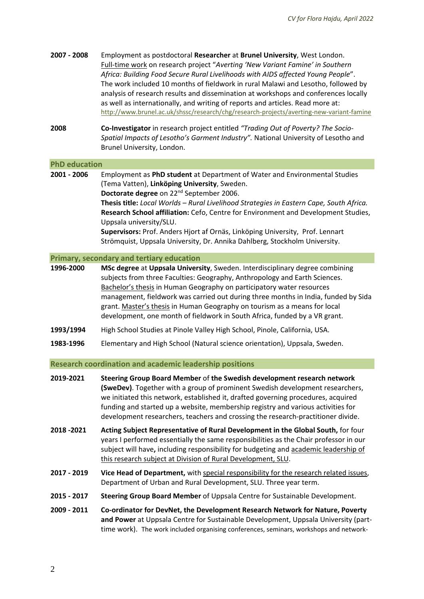| 2007 - 2008          | Employment as postdoctoral Researcher at Brunel University, West London.<br>Full-time work on research project "Averting 'New Variant Famine' in Southern<br>Africa: Building Food Secure Rural Livelihoods with AIDS affected Young People".<br>The work included 10 months of fieldwork in rural Malawi and Lesotho, followed by<br>analysis of research results and dissemination at workshops and conferences locally<br>as well as internationally, and writing of reports and articles. Read more at:<br>http://www.brunel.ac.uk/shssc/research/chg/research-projects/averting-new-variant-famine |
|----------------------|---------------------------------------------------------------------------------------------------------------------------------------------------------------------------------------------------------------------------------------------------------------------------------------------------------------------------------------------------------------------------------------------------------------------------------------------------------------------------------------------------------------------------------------------------------------------------------------------------------|
| 2008                 | Co-Investigator in research project entitled "Trading Out of Poverty? The Socio-<br>Spatial Impacts of Lesotho's Garment Industry". National University of Lesotho and<br>Brunel University, London.                                                                                                                                                                                                                                                                                                                                                                                                    |
| <b>PhD education</b> |                                                                                                                                                                                                                                                                                                                                                                                                                                                                                                                                                                                                         |
| 2001 - 2006          | Employment as PhD student at Department of Water and Environmental Studies<br>(Tema Vatten), Linköping University, Sweden.<br>Doctorate degree on 22 <sup>nd</sup> September 2006.<br>Thesis title: Local Worlds - Rural Livelihood Strategies in Eastern Cape, South Africa.<br>Research School affiliation: Cefo, Centre for Environment and Development Studies,<br>Uppsala university/SLU.<br>Supervisors: Prof. Anders Hjort af Ornäs, Linköping University, Prof. Lennart<br>Strömquist, Uppsala University, Dr. Annika Dahlberg, Stockholm University.                                           |
|                      | Primary, secondary and tertiary education                                                                                                                                                                                                                                                                                                                                                                                                                                                                                                                                                               |
| 1996-2000            | MSc degree at Uppsala University, Sweden. Interdisciplinary degree combining<br>subjects from three Faculties: Geography, Anthropology and Earth Sciences.<br>Bachelor's thesis in Human Geography on participatory water resources<br>management, fieldwork was carried out during three months in India, funded by Sida<br>grant. Master's thesis in Human Geography on tourism as a means for local<br>development, one month of fieldwork in South Africa, funded by a VR grant.                                                                                                                    |
| 1993/1994            | High School Studies at Pinole Valley High School, Pinole, California, USA.                                                                                                                                                                                                                                                                                                                                                                                                                                                                                                                              |
| 1983-1996            | Elementary and High School (Natural science orientation), Uppsala, Sweden.                                                                                                                                                                                                                                                                                                                                                                                                                                                                                                                              |
|                      | <b>Research coordination and academic leadership positions</b>                                                                                                                                                                                                                                                                                                                                                                                                                                                                                                                                          |

| 2019-2021   | Steering Group Board Member of the Swedish development research network<br>(SweDev). Together with a group of prominent Swedish development researchers,<br>we initiated this network, established it, drafted governing procedures, acquired<br>funding and started up a website, membership registry and various activities for<br>development researchers, teachers and crossing the research-practitioner divide. |
|-------------|-----------------------------------------------------------------------------------------------------------------------------------------------------------------------------------------------------------------------------------------------------------------------------------------------------------------------------------------------------------------------------------------------------------------------|
| 2018 - 2021 | Acting Subject Representative of Rural Development in the Global South, for four                                                                                                                                                                                                                                                                                                                                      |

- years I performed essentially the same responsibilities as the Chair professor in our subject will have**,** including responsibility for budgeting and academic leadership of this research subject at Division of Rural Development, SLU.
- **2017 - 2019 Vice Head of Department,** with special responsibility for the research related issues, Department of Urban and Rural Development, SLU. Three year term.
- **2015 - 2017 Steering Group Board Member** of Uppsala Centre for Sustainable Development.
- **2009 - 2011 Co-ordinator for DevNet, the Development Research Network for Nature, Poverty and Power** at Uppsala Centre for Sustainable Development, Uppsala University (parttime work). The work included organising conferences, seminars, workshops and network-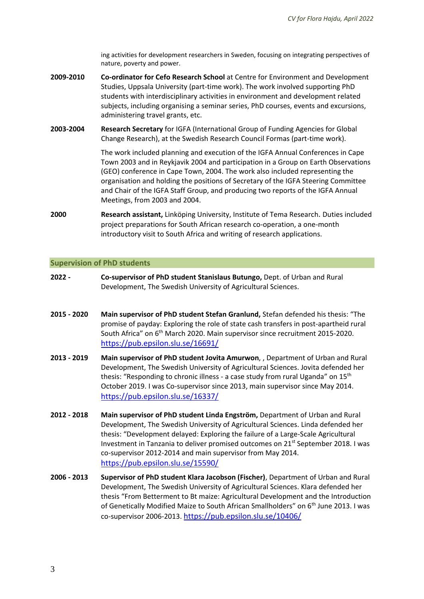ing activities for development researchers in Sweden, focusing on integrating perspectives of nature, poverty and power.

- **2009-2010 Co-ordinator for Cefo Research School** at Centre for Environment and Development Studies, Uppsala University (part-time work). The work involved supporting PhD students with interdisciplinary activities in environment and development related subjects, including organising a seminar series, PhD courses, events and excursions, administering travel grants, etc.
- **2003-2004 Research Secretary** for IGFA (International Group of Funding Agencies for Global Change Research), at the Swedish Research Council Formas (part-time work).

The work included planning and execution of the IGFA Annual Conferences in Cape Town 2003 and in Reykjavik 2004 and participation in a Group on Earth Observations (GEO) conference in Cape Town, 2004. The work also included representing the organisation and holding the positions of Secretary of the IGFA Steering Committee and Chair of the IGFA Staff Group, and producing two reports of the IGFA Annual Meetings, from 2003 and 2004.

**2000 Research assistant,** Linköping University, Institute of Tema Research. Duties included project preparations for South African research co-operation, a one-month introductory visit to South Africa and writing of research applications.

#### **Supervision of PhD students**

- **2022 - Co-supervisor of PhD student Stanislaus Butungo,** Dept. of Urban and Rural Development, The Swedish University of Agricultural Sciences.
- **2015 - 2020 Main supervisor of PhD student Stefan Granlund,** Stefan defended his thesis: "The promise of payday: Exploring the role of state cash transfers in post-apartheid rural South Africa" on 6th March 2020. Main supervisor since recruitment 2015-2020. <https://pub.epsilon.slu.se/16691/>
- **2013 - 2019 Main supervisor of PhD student Jovita Amurwon**, , Department of Urban and Rural Development, The Swedish University of Agricultural Sciences. Jovita defended her thesis: "Responding to chronic illness - a case study from rural Uganda" on 15<sup>th</sup> October 2019. I was Co-supervisor since 2013, main supervisor since May 2014. <https://pub.epsilon.slu.se/16337/>
- **2012 - 2018 Main supervisor of PhD student Linda Engström,** Department of Urban and Rural Development, The Swedish University of Agricultural Sciences. Linda defended her thesis: "Development delayed: Exploring the failure of a Large-Scale Agricultural Investment in Tanzania to deliver promised outcomes on 21<sup>st</sup> September 2018. I was co-supervisor 2012-2014 and main supervisor from May 2014. <https://pub.epsilon.slu.se/15590/>
- **2006 - 2013 Supervisor of PhD student Klara Jacobson (Fischer)**, Department of Urban and Rural Development, The Swedish University of Agricultural Sciences. Klara defended her thesis "From Betterment to Bt maize: Agricultural Development and the Introduction of Genetically Modified Maize to South African Smallholders" on 6th June 2013. I was co-supervisor 2006-2013. <https://pub.epsilon.slu.se/10406/>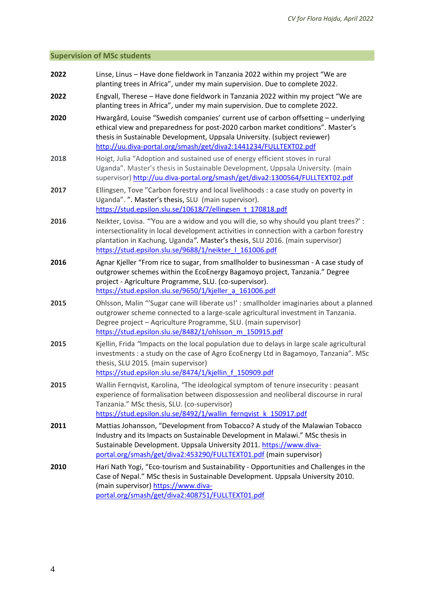# **Supervision of MSc students**

| 2022 | Linse, Linus - Have done fieldwork in Tanzania 2022 within my project "We are<br>planting trees in Africa", under my main supervision. Due to complete 2022.                                                                                                                                                               |  |  |
|------|----------------------------------------------------------------------------------------------------------------------------------------------------------------------------------------------------------------------------------------------------------------------------------------------------------------------------|--|--|
| 2022 | Engvall, Therese - Have done fieldwork in Tanzania 2022 within my project "We are<br>planting trees in Africa", under my main supervision. Due to complete 2022.                                                                                                                                                           |  |  |
| 2020 | Hwargård, Louise "Swedish companies' current use of carbon offsetting - underlying<br>ethical view and preparedness for post-2020 carbon market conditions". Master's<br>thesis in Sustainable Development, Uppsala University. (subject reviewer)<br>http://uu.diva-portal.org/smash/get/diva2:1441234/FULLTEXT02.pdf     |  |  |
| 2018 | Hoigt, Julia "Adoption and sustained use of energy efficient stoves in rural<br>Uganda". Master's thesis in Sustainable Development, Uppsala University. (main<br>supervisor) http://uu.diva-portal.org/smash/get/diva2:1300564/FULLTEXT02.pdf                                                                             |  |  |
| 2017 | Ellingsen, Tove "Carbon forestry and local livelihoods : a case study on poverty in<br>Uganda". ". Master's thesis, SLU (main supervisor).<br>https://stud.epsilon.slu.se/10618/7/ellingsen t 170818.pdf                                                                                                                   |  |  |
| 2016 | Neikter, Lovisa. "You are a widow and you will die, so why should you plant trees?' :<br>intersectionality in local development activities in connection with a carbon forestry<br>plantation in Kachung, Uganda". Master's thesis, SLU 2016. (main supervisor)<br>https://stud.epsilon.slu.se/9688/1/neikter   161006.pdf |  |  |
| 2016 | Agnar Kjeller "From rice to sugar, from smallholder to businessman - A case study of<br>outgrower schemes within the EcoEnergy Bagamoyo project, Tanzania." Degree<br>project - Agriculture Programme, SLU. (co-supervisor).<br>https://stud.epsilon.slu.se/9650/1/kjeller_a_161006.pdf                                    |  |  |
| 2015 | Ohlsson, Malin "'Sugar cane will liberate us!' : smallholder imaginaries about a planned<br>outgrower scheme connected to a large-scale agricultural investment in Tanzania.<br>Degree project - Aqriculture Programme, SLU. (main supervisor)<br>https://stud.epsilon.slu.se/8482/1/ohlsson_m_150915.pdf                  |  |  |
| 2015 | Kjellin, Frida "Impacts on the local population due to delays in large scale agricultural<br>investments : a study on the case of Agro EcoEnergy Ltd in Bagamoyo, Tanzania". MSc<br>thesis, SLU 2015. (main supervisor)<br>https://stud.epsilon.slu.se/8474/1/kjellin f 150909.pdf                                         |  |  |
| 2015 | Wallin Fernqvist, Karolina, "The ideological symptom of tenure insecurity : peasant<br>experience of formalisation between dispossession and neoliberal discourse in rural<br>Tanzania." MSc thesis, SLU. (co-supervisor)<br>https://stud.epsilon.slu.se/8492/1/wallin_fernqvist_k_150917.pdf                              |  |  |
| 2011 | Mattias Johansson, "Development from Tobacco? A study of the Malawian Tobacco<br>Industry and its Impacts on Sustainable Development in Malawi." MSc thesis in<br>Sustainable Development. Uppsala University 2011. https://www.diva-<br>portal.org/smash/get/diva2:453290/FULLTEXT01.pdf (main supervisor)                |  |  |
| 2010 | Hari Nath Yogi, "Eco-tourism and Sustainability - Opportunities and Challenges in the<br>Case of Nepal." MSc thesis in Sustainable Development. Uppsala University 2010.<br>(main supervisor) https://www.diva-<br>portal.org/smash/get/diva2:408751/FULLTEXT01.pdf                                                        |  |  |
|      |                                                                                                                                                                                                                                                                                                                            |  |  |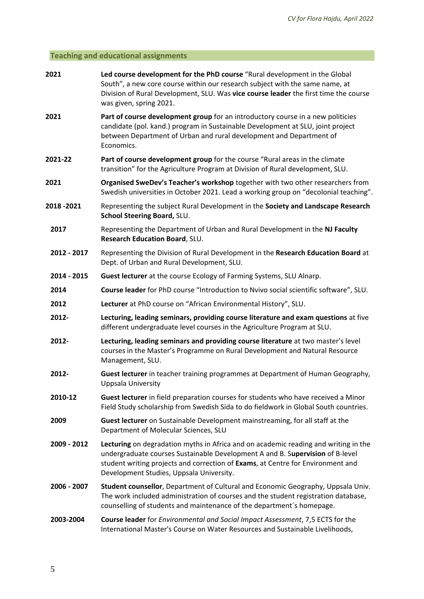# **Teaching and educational assignments**

| 2021                                                                                                                                                                           | Led course development for the PhD course "Rural development in the Global<br>South", a new core course within our research subject with the same name, at<br>Division of Rural Development, SLU. Was vice course leader the first time the course<br>was given, spring 2021.                       |  |
|--------------------------------------------------------------------------------------------------------------------------------------------------------------------------------|-----------------------------------------------------------------------------------------------------------------------------------------------------------------------------------------------------------------------------------------------------------------------------------------------------|--|
| 2021                                                                                                                                                                           | Part of course development group for an introductory course in a new politicies<br>candidate (pol. kand.) program in Sustainable Development at SLU, joint project<br>between Department of Urban and rural development and Department of<br>Economics.                                             |  |
| 2021-22                                                                                                                                                                        | Part of course development group for the course "Rural areas in the climate<br>transition" for the Agriculture Program at Division of Rural development, SLU.                                                                                                                                       |  |
| Organised SweDev's Teacher's workshop together with two other researchers from<br>2021<br>Swedish universities in October 2021. Lead a working group on "decolonial teaching". |                                                                                                                                                                                                                                                                                                     |  |
| 2018 - 2021                                                                                                                                                                    | Representing the subject Rural Development in the Society and Landscape Research<br>School Steering Board, SLU.                                                                                                                                                                                     |  |
| 2017                                                                                                                                                                           | Representing the Department of Urban and Rural Development in the NJ Faculty<br>Research Education Board, SLU.                                                                                                                                                                                      |  |
| 2012 - 2017                                                                                                                                                                    | Representing the Division of Rural Development in the Research Education Board at<br>Dept. of Urban and Rural Development, SLU.                                                                                                                                                                     |  |
| 2014 - 2015                                                                                                                                                                    | Guest lecturer at the course Ecology of Farming Systems, SLU Alnarp.                                                                                                                                                                                                                                |  |
| 2014                                                                                                                                                                           | Course leader for PhD course "Introduction to Nvivo social scientific software", SLU.                                                                                                                                                                                                               |  |
| 2012                                                                                                                                                                           | Lecturer at PhD course on "African Environmental History", SLU.                                                                                                                                                                                                                                     |  |
| 2012-                                                                                                                                                                          | Lecturing, leading seminars, providing course literature and exam questions at five<br>different undergraduate level courses in the Agriculture Program at SLU.                                                                                                                                     |  |
| 2012-                                                                                                                                                                          | Lecturing, leading seminars and providing course literature at two master's level<br>courses in the Master's Programme on Rural Development and Natural Resource<br>Management, SLU.                                                                                                                |  |
| 2012-                                                                                                                                                                          | Guest lecturer in teacher training programmes at Department of Human Geography,<br>Uppsala University                                                                                                                                                                                               |  |
| 2010-12                                                                                                                                                                        | Guest lecturer in field preparation courses for students who have received a Minor<br>Field Study scholarship from Swedish Sida to do fieldwork in Global South countries.                                                                                                                          |  |
| 2009                                                                                                                                                                           | Guest lecturer on Sustainable Development mainstreaming, for all staff at the<br>Department of Molecular Sciences, SLU                                                                                                                                                                              |  |
| 2009 - 2012                                                                                                                                                                    | Lecturing on degradation myths in Africa and on academic reading and writing in the<br>undergraduate courses Sustainable Development A and B. Supervision of B-level<br>student writing projects and correction of Exams, at Centre for Environment and<br>Development Studies, Uppsala University. |  |
| 2006 - 2007                                                                                                                                                                    | Student counsellor, Department of Cultural and Economic Geography, Uppsala Univ.<br>The work included administration of courses and the student registration database,<br>counselling of students and maintenance of the department's homepage.                                                     |  |
| 2003-2004                                                                                                                                                                      | <b>Course leader</b> for <i>Environmental and Social Impact Assessment</i> , 7,5 ECTS for the<br>International Master's Course on Water Resources and Sustainable Livelihoods,                                                                                                                      |  |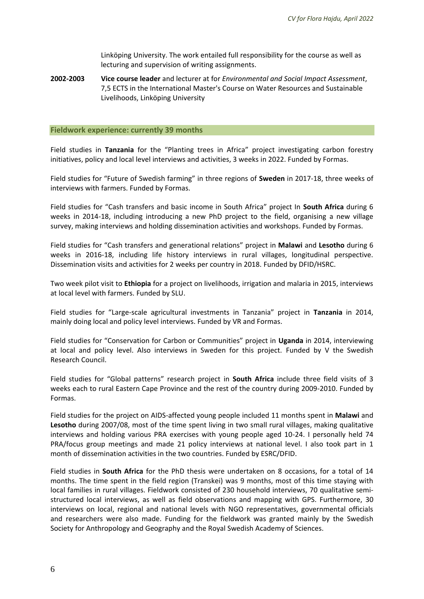Linköping University. The work entailed full responsibility for the course as well as lecturing and supervision of writing assignments.

**2002-2003 Vice course leader** and lecturer at for *Environmental and Social Impact Assessment*, 7,5 ECTS in the International Master's Course on Water Resources and Sustainable Livelihoods, Linköping University

#### **Fieldwork experience: currently 39 months**

Field studies in **Tanzania** for the "Planting trees in Africa" project investigating carbon forestry initiatives, policy and local level interviews and activities, 3 weeks in 2022. Funded by Formas.

Field studies for "Future of Swedish farming" in three regions of **Sweden** in 2017-18, three weeks of interviews with farmers. Funded by Formas.

Field studies for "Cash transfers and basic income in South Africa" project In **South Africa** during 6 weeks in 2014-18, including introducing a new PhD project to the field, organising a new village survey, making interviews and holding dissemination activities and workshops. Funded by Formas.

Field studies for "Cash transfers and generational relations" project in **Malawi** and **Lesotho** during 6 weeks in 2016-18, including life history interviews in rural villages, longitudinal perspective. Dissemination visits and activities for 2 weeks per country in 2018. Funded by DFID/HSRC.

Two week pilot visit to **Ethiopia** for a project on livelihoods, irrigation and malaria in 2015, interviews at local level with farmers. Funded by SLU.

Field studies for "Large-scale agricultural investments in Tanzania" project in **Tanzania** in 2014, mainly doing local and policy level interviews. Funded by VR and Formas.

Field studies for "Conservation for Carbon or Communities" project in **Uganda** in 2014, interviewing at local and policy level. Also interviews in Sweden for this project. Funded by V the Swedish Research Council.

Field studies for "Global patterns" research project in **South Africa** include three field visits of 3 weeks each to rural Eastern Cape Province and the rest of the country during 2009-2010. Funded by Formas.

Field studies for the project on AIDS-affected young people included 11 months spent in **Malawi** and **Lesotho** during 2007/08, most of the time spent living in two small rural villages, making qualitative interviews and holding various PRA exercises with young people aged 10-24. I personally held 74 PRA/focus group meetings and made 21 policy interviews at national level. I also took part in 1 month of dissemination activities in the two countries. Funded by ESRC/DFID.

Field studies in **South Africa** for the PhD thesis were undertaken on 8 occasions, for a total of 14 months. The time spent in the field region (Transkei) was 9 months, most of this time staying with local families in rural villages. Fieldwork consisted of 230 household interviews, 70 qualitative semistructured local interviews, as well as field observations and mapping with GPS. Furthermore, 30 interviews on local, regional and national levels with NGO representatives, governmental officials and researchers were also made. Funding for the fieldwork was granted mainly by the Swedish Society for Anthropology and Geography and the Royal Swedish Academy of Sciences.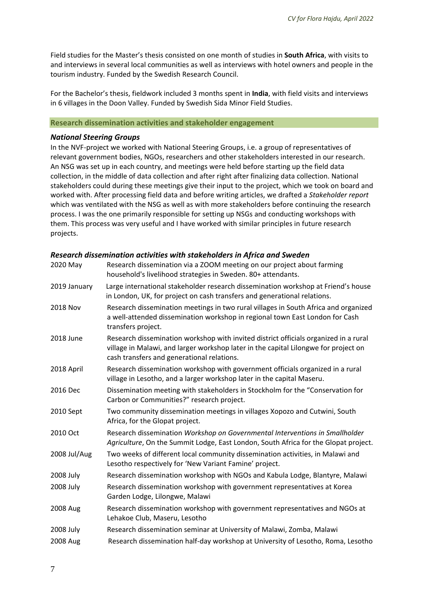Field studies for the Master's thesis consisted on one month of studies in **South Africa**, with visits to and interviews in several local communities as well as interviews with hotel owners and people in the tourism industry. Funded by the Swedish Research Council.

For the Bachelor's thesis, fieldwork included 3 months spent in **India**, with field visits and interviews in 6 villages in the Doon Valley. Funded by Swedish Sida Minor Field Studies.

### **Research dissemination activities and stakeholder engagement**

### *National Steering Groups*

In the NVF-project we worked with National Steering Groups, i.e. a group of representatives of relevant government bodies, NGOs, researchers and other stakeholders interested in our research. An NSG was set up in each country, and meetings were held before starting up the field data collection, in the middle of data collection and after right after finalizing data collection. National stakeholders could during these meetings give their input to the project, which we took on board and worked with. After processing field data and before writing articles, we drafted a *Stakeholder report* which was ventilated with the NSG as well as with more stakeholders before continuing the research process. I was the one primarily responsible for setting up NSGs and conducting workshops with them. This process was very useful and I have worked with similar principles in future research projects.

# *Research dissemination activities with stakeholders in Africa and Sweden*

| 2020 May     | Research dissemination via a ZOOM meeting on our project about farming<br>household's livelihood strategies in Sweden. 80+ attendants.                                                                                    |
|--------------|---------------------------------------------------------------------------------------------------------------------------------------------------------------------------------------------------------------------------|
| 2019 January | Large international stakeholder research dissemination workshop at Friend's house<br>in London, UK, for project on cash transfers and generational relations.                                                             |
| 2018 Nov     | Research dissemination meetings in two rural villages in South Africa and organized<br>a well-attended dissemination workshop in regional town East London for Cash<br>transfers project.                                 |
| 2018 June    | Research dissemination workshop with invited district officials organized in a rural<br>village in Malawi, and larger workshop later in the capital Lilongwe for project on<br>cash transfers and generational relations. |
| 2018 April   | Research dissemination workshop with government officials organized in a rural<br>village in Lesotho, and a larger workshop later in the capital Maseru.                                                                  |
| 2016 Dec     | Dissemination meeting with stakeholders in Stockholm for the "Conservation for<br>Carbon or Communities?" research project.                                                                                               |
| 2010 Sept    | Two community dissemination meetings in villages Xopozo and Cutwini, South<br>Africa, for the Glopat project.                                                                                                             |
| 2010 Oct     | Research dissemination Workshop on Governmental Interventions in Smallholder<br>Agriculture, On the Summit Lodge, East London, South Africa for the Glopat project.                                                       |
| 2008 Jul/Aug | Two weeks of different local community dissemination activities, in Malawi and<br>Lesotho respectively for 'New Variant Famine' project.                                                                                  |
| 2008 July    | Research dissemination workshop with NGOs and Kabula Lodge, Blantyre, Malawi                                                                                                                                              |
| 2008 July    | Research dissemination workshop with government representatives at Korea<br>Garden Lodge, Lilongwe, Malawi                                                                                                                |
| 2008 Aug     | Research dissemination workshop with government representatives and NGOs at<br>Lehakoe Club, Maseru, Lesotho                                                                                                              |
| 2008 July    | Research dissemination seminar at University of Malawi, Zomba, Malawi                                                                                                                                                     |
| 2008 Aug     | Research dissemination half-day workshop at University of Lesotho, Roma, Lesotho                                                                                                                                          |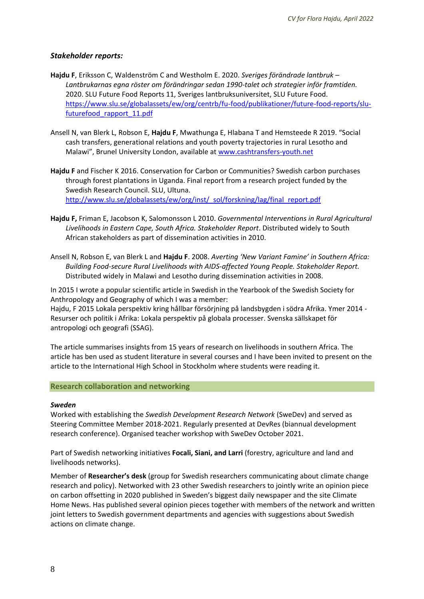# *Stakeholder reports:*

- **Hajdu F**, Eriksson C, Waldenström C and Westholm E. 2020. *Sveriges förändrade lantbruk – Lantbrukarnas egna röster om förändringar sedan 1990-talet och strategier inför framtiden.* 2020. SLU Future Food Reports 11, Sveriges lantbruksuniversitet, SLU Future Food. [https://www.slu.se/globalassets/ew/org/centrb/fu-food/publikationer/future-food-reports/slu](https://www.slu.se/globalassets/ew/org/centrb/fu-food/publikationer/future-food-reports/slu-futurefood_rapport_11.pdf)[futurefood\\_rapport\\_11.pdf](https://www.slu.se/globalassets/ew/org/centrb/fu-food/publikationer/future-food-reports/slu-futurefood_rapport_11.pdf)
- Ansell N, van Blerk L, Robson E, **Hajdu F**, Mwathunga E, Hlabana T and Hemsteede R 2019. "Social cash transfers, generational relations and youth poverty trajectories in rural Lesotho and Malawi", Brunel University London, available at [www.cashtransfers-youth.net](http://www.cashtransfers-youth.net/)
- **Hajdu F** and Fischer K 2016. Conservation for Carbon or Communities? Swedish carbon purchases through forest plantations in Uganda. Final report from a research project funded by the Swedish Research Council. SLU, Ultuna. [http://www.slu.se/globalassets/ew/org/inst/\\_sol/forskning/lag/final\\_report.pdf](http://www.slu.se/globalassets/ew/org/inst/_sol/forskning/lag/final_report.pdf)
- **Hajdu F,** Friman E, Jacobson K, Salomonsson L 2010. *Governmental Interventions in Rural Agricultural Livelihoods in Eastern Cape, South Africa. Stakeholder Report*. Distributed widely to South African stakeholders as part of dissemination activities in 2010.
- Ansell N, Robson E, van Blerk L and **Hajdu F**. 2008. *Averting 'New Variant Famine' in Southern Africa: Building Food-secure Rural Livelihoods with AIDS-affected Young People. Stakeholder Report.* Distributed widely in Malawi and Lesotho during dissemination activities in 2008.

In 2015 I wrote a popular scientific article in Swedish in the Yearbook of the Swedish Society for Anthropology and Geography of which I was a member:

Hajdu, F 2015 Lokala perspektiv kring hållbar försörjning på landsbygden i södra Afrika. Ymer 2014 - Resurser och politik i Afrika: Lokala perspektiv på globala processer. Svenska sällskapet för antropologi och geografi (SSAG).

The article summarises insights from 15 years of research on livelihoods in southern Africa. The article has ben used as student literature in several courses and I have been invited to present on the article to the International High School in Stockholm where students were reading it.

#### **Research collaboration and networking**

#### *Sweden*

Worked with establishing the *Swedish Development Research Network* (SweDev) and served as Steering Committee Member 2018-2021. Regularly presented at DevRes (biannual development research conference). Organised teacher workshop with SweDev October 2021.

Part of Swedish networking initiatives **Focali, Siani, and Larri** (forestry, agriculture and land and livelihoods networks).

Member of **Researcher's desk** (group for Swedish researchers communicating about climate change research and policy). Networked with 23 other Swedish researchers to jointly write an opinion piece on carbon offsetting in 2020 published in Sweden's biggest daily newspaper and the site Climate Home News. Has published several opinion pieces together with members of the network and written joint letters to Swedish government departments and agencies with suggestions about Swedish actions on climate change.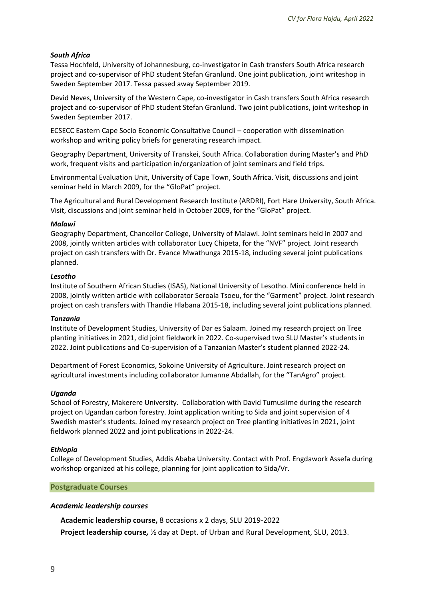# *South Africa*

Tessa Hochfeld, University of Johannesburg, co-investigator in Cash transfers South Africa research project and co-supervisor of PhD student Stefan Granlund. One joint publication, joint writeshop in Sweden September 2017. Tessa passed away September 2019.

Devid Neves, University of the Western Cape, co-investigator in Cash transfers South Africa research project and co-supervisor of PhD student Stefan Granlund. Two joint publications, joint writeshop in Sweden September 2017.

ECSECC Eastern Cape Socio Economic Consultative Council – cooperation with dissemination workshop and writing policy briefs for generating research impact.

Geography Department, University of Transkei, South Africa. Collaboration during Master's and PhD work, frequent visits and participation in/organization of joint seminars and field trips.

Environmental Evaluation Unit, University of Cape Town, South Africa. Visit, discussions and joint seminar held in March 2009, for the "GloPat" project.

The Agricultural and Rural Development Research Institute (ARDRI), Fort Hare University, South Africa. Visit, discussions and joint seminar held in October 2009, for the "GloPat" project.

#### *Malawi*

Geography Department, Chancellor College, University of Malawi. Joint seminars held in 2007 and 2008, jointly written articles with collaborator Lucy Chipeta, for the "NVF" project. Joint research project on cash transfers with Dr. Evance Mwathunga 2015-18, including several joint publications planned.

#### *Lesotho*

Institute of Southern African Studies (ISAS), National University of Lesotho. Mini conference held in 2008, jointly written article with collaborator Seroala Tsoeu, for the "Garment" project. Joint research project on cash transfers with Thandie Hlabana 2015-18, including several joint publications planned.

#### *Tanzania*

Institute of Development Studies, University of Dar es Salaam. Joined my research project on Tree planting initiatives in 2021, did joint fieldwork in 2022. Co-supervised two SLU Master's students in 2022. Joint publications and Co-supervision of a Tanzanian Master's student planned 2022-24.

Department of Forest Economics, Sokoine University of Agriculture. Joint research project on agricultural investments including collaborator Jumanne Abdallah, for the "TanAgro" project.

#### *Uganda*

School of Forestry, Makerere University. Collaboration with David Tumusiime during the research project on Ugandan carbon forestry. Joint application writing to Sida and joint supervision of 4 Swedish master's students. Joined my research project on Tree planting initiatives in 2021, joint fieldwork planned 2022 and joint publications in 2022-24.

#### *Ethiopia*

College of Development Studies, Addis Ababa University. Contact with Prof. Engdawork Assefa during workshop organized at his college, planning for joint application to Sida/Vr.

#### **Postgraduate Courses**

#### *Academic leadership courses*

**Academic leadership course,** 8 occasions x 2 days, SLU 2019-2022

**Project leadership course***,* ½ day at Dept. of Urban and Rural Development, SLU, 2013.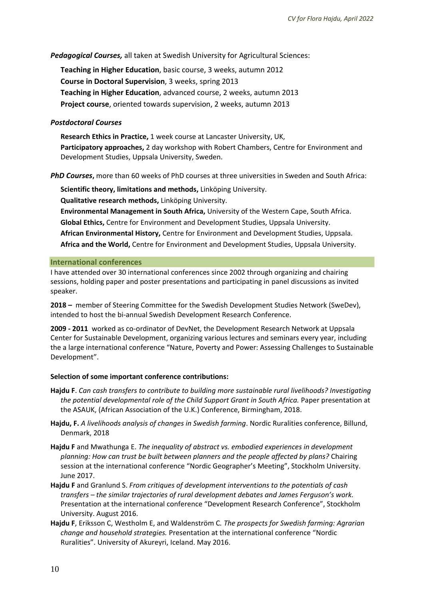*Pedagogical Courses,* all taken at Swedish University for Agricultural Sciences:

**Teaching in Higher Education**, basic course, 3 weeks, autumn 2012 **Course in Doctoral Supervision**, 3 weeks, spring 2013 **Teaching in Higher Education**, advanced course, 2 weeks, autumn 2013 **Project course**, oriented towards supervision, 2 weeks, autumn 2013

# *Postdoctoral Courses*

**Research Ethics in Practice,** 1 week course at Lancaster University, UK, **Participatory approaches,** 2 day workshop with Robert Chambers, Centre for Environment and Development Studies, Uppsala University, Sweden.

*PhD Courses***,** more than 60 weeks of PhD courses at three universities in Sweden and South Africa:

**Scientific theory, limitations and methods,** Linköping University.

**Qualitative research methods,** Linköping University.

**Environmental Management in South Africa,** University of the Western Cape, South Africa. **Global Ethics,** Centre for Environment and Development Studies, Uppsala University. **African Environmental History,** Centre for Environment and Development Studies, Uppsala. **Africa and the World,** Centre for Environment and Development Studies, Uppsala University.

#### **International conferences**

I have attended over 30 international conferences since 2002 through organizing and chairing sessions, holding paper and poster presentations and participating in panel discussions as invited speaker.

**2018 –** member of Steering Committee for the Swedish Development Studies Network (SweDev), intended to host the bi-annual Swedish Development Research Conference.

**2009 - 2011** worked as co-ordinator of DevNet, the Development Research Network at Uppsala Center for Sustainable Development, organizing various lectures and seminars every year, including the a large international conference "Nature, Poverty and Power: Assessing Challenges to Sustainable Development".

#### **Selection of some important conference contributions:**

- **Hajdu F**. *Can cash transfers to contribute to building more sustainable rural livelihoods? Investigating*  the potential developmental role of the Child Support Grant in South Africa. Paper presentation at the ASAUK, (African Association of the U.K.) Conference, Birmingham, 2018.
- **Hajdu, F.** *A livelihoods analysis of changes in Swedish farming*. Nordic Ruralities conference, Billund, Denmark, 2018
- **Hajdu F** and Mwathunga E. *The inequality of abstract vs. embodied experiences in development planning: How can trust be built between planners and the people affected by plans?* Chairing session at the international conference "Nordic Geographer's Meeting", Stockholm University. June 2017.
- **Hajdu F** and Granlund S. *From critiques of development interventions to the potentials of cash transfers – the similar trajectories of rural development debates and James Ferguson's work.* Presentation at the international conference "Development Research Conference", Stockholm University. August 2016.
- **Hajdu F**, Eriksson C, Westholm E, and Waldenström C*. The prospects for Swedish farming: Agrarian change and household strategies.* Presentation at the international conference "Nordic Ruralities". University of Akureyri, Iceland. May 2016.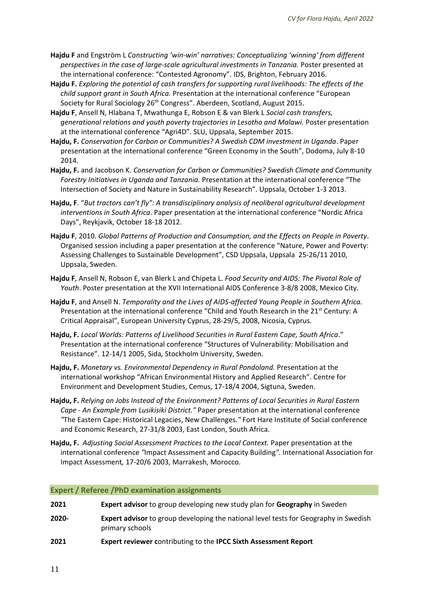- **Hajdu F** and Engström L *Constructing 'win-win' narratives: Conceptualizing 'winning' from different perspectives in the case of large-scale agricultural investments in Tanzania.* Poster presented at the international conference: "Contested Agronomy". IDS, Brighton, February 2016.
- **Hajdu F.** *Exploring the potential of cash transfers for supporting rural livelihoods: The effects of the child support grant in South Africa.* Presentation at the international conference "European Society for Rural Sociology 26<sup>th</sup> Congress". Aberdeen, Scotland, August 2015.
- **Hajdu F**, Ansell N, Hlabana T, Mwathunga E, Robson E & van Blerk L *Social cash transfers, generational relations and youth poverty trajectories in Lesotho and Malawi.* Poster presentation at the international conference "Agri4D". SLU, Uppsala, September 2015.
- **Hajdu, F.** *Conservation for Carbon or Communities? A Swedish CDM investment in Uganda*. Paper presentation at the international conference "Green Economy in the South", Dodoma, July 8-10 2014.
- **Hajdu, F.** and Jacobson K. *Conservation for Carbon or Communities? Swedish Climate and Community Forestry Initiatives in Uganda and Tanzania.* Presentation at the international conference "The Intersection of Society and Nature in Sustainability Research". Uppsala, October 1-3 2013.
- **Hajdu, F**. "*But tractors can't fly": A transdisciplinary analysis of neoliberal agricultural development interventions in South Africa*. Paper presentation at the international conference "Nordic Africa Days", Reykjavik, October 18-18 2012.
- **Hajdu F**, 2010. *Global Patterns of Production and Consumption, and the Effects on People in Poverty*. Organised session including a paper presentation at the conference "Nature, Power and Poverty: Assessing Challenges to Sustainable Development", CSD Uppsala, Uppsala 25-26/11 2010, Uppsala, Sweden.
- **Hajdu F**, Ansell N, Robson E, van Blerk L and Chipeta L. *Food Security and AIDS: The Pivotal Role of Youth*. Poster presentation at the XVII International AIDS Conference 3-8/8 2008, Mexico City.
- **Hajdu F**, and Ansell N. *Temporality and the Lives of AIDS-affected Young People in Southern Africa.*  Presentation at the international conference "Child and Youth Research in the  $21^{st}$  Century: A Critical Appraisal", European University Cyprus, 28-29/5, 2008, Nicosia, Cyprus.
- **Hajdu, F.** *Local Worlds: Patterns of Livelihood Securities in Rural Eastern Cape, South Africa*." Presentation at the international conference "Structures of Vulnerability: Mobilisation and Resistance". 12-14/1 2005, Sida*,* Stockholm University, Sweden.
- **Hajdu, F.** *Monetary vs. Environmental Dependency in Rural Pondoland.* Presentation at the international workshop "African Environmental History and Applied Research". Centre for Environment and Development Studies, Cemus, 17-18/4 2004, Sigtuna, Sweden.
- **Hajdu, F.** *Relying on Jobs Instead of the Environment? Patterns of Local Securities in Rural Eastern Cape - An Example from Lusikisiki District."* Paper presentation at the international conference *"*The Eastern Cape: Historical Legacies, New Challenges*."* Fort Hare Institute of Social conference and Economic Research, 27-31/8 2003, East London, South Africa.
- **Hajdu, F.** *Adjusting Social Assessment Practices to the Local Context.* Paper presentation at the international conference *"*Impact Assessment and Capacity Building*".* International Association for Impact Assessment*,* 17-20/6 2003, Marrakesh, Morocco.

# **Expert / Referee /PhD examination assignments**

| 2021     | <b>Expert advisor to group developing new study plan for Geography in Sweden</b>                               |  |
|----------|----------------------------------------------------------------------------------------------------------------|--|
| $2020 -$ | <b>Expert advisor</b> to group developing the national level tests for Geography in Swedish<br>primary schools |  |
| 2021     | Expert reviewer contributing to the IPCC Sixth Assessment Report                                               |  |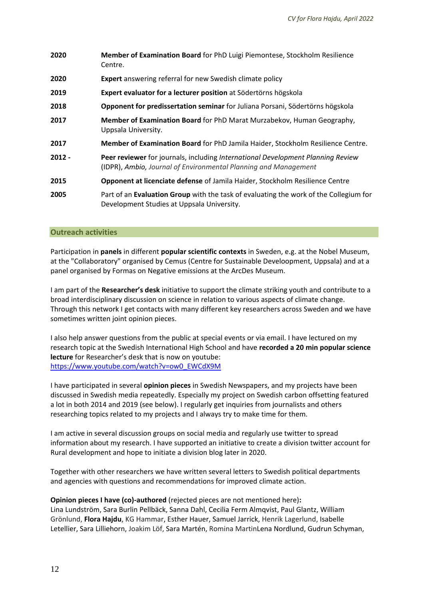| 2020     | Member of Examination Board for PhD Luigi Piemontese, Stockholm Resilience<br>Centre.                                                              |  |
|----------|----------------------------------------------------------------------------------------------------------------------------------------------------|--|
| 2020     | <b>Expert</b> answering referral for new Swedish climate policy                                                                                    |  |
| 2019     | Expert evaluator for a lecturer position at Södertörns högskola                                                                                    |  |
| 2018     | Opponent for predissertation seminar for Juliana Porsani, Södertörns högskola                                                                      |  |
| 2017     | Member of Examination Board for PhD Marat Murzabekov, Human Geography,<br>Uppsala University.                                                      |  |
| 2017     | Member of Examination Board for PhD Jamila Haider, Stockholm Resilience Centre.                                                                    |  |
| $2012 -$ | Peer reviewer for journals, including International Development Planning Review<br>(IDPR), Ambio, Journal of Environmental Planning and Management |  |
| 2015     | Opponent at licenciate defense of Jamila Haider, Stockholm Resilience Centre                                                                       |  |
| 2005     | Part of an Evaluation Group with the task of evaluating the work of the Collegium for<br>Development Studies at Uppsala University.                |  |

# **Outreach activities**

Participation in **panels** in different **popular scientific contexts** in Sweden, e.g. at the Nobel Museum, at the "Collaboratory" organised by Cemus (Centre for Sustainable Develoopment, Uppsala) and at a panel organised by Formas on Negative emissions at the ArcDes Museum.

I am part of the **Researcher's desk** initiative to support the climate striking youth and contribute to a broad interdisciplinary discussion on science in relation to various aspects of climate change. Through this network I get contacts with many different key researchers across Sweden and we have sometimes written joint opinion pieces.

I also help answer questions from the public at special events or via email. I have lectured on my research topic at the Swedish International High School and have **recorded a 20 min popular science lecture** for Researcher's desk that is now on youtube: [https://www.youtube.com/watch?v=ow0\\_EWCdX9M](https://www.youtube.com/watch?v=ow0_EWCdX9M)

I have participated in several **opinion pieces** in Swedish Newspapers, and my projects have been discussed in Swedish media repeatedly. Especially my project on Swedish carbon offsetting featured a lot in both 2014 and 2019 (see below). I regularly get inquiries from journalists and others researching topics related to my projects and I always try to make time for them.

I am active in several discussion groups on social media and regularly use twitter to spread information about my research. I have supported an initiative to create a division twitter account for Rural development and hope to initiate a division blog later in 2020.

Together with other researchers we have written several letters to Swedish political departments and agencies with questions and recommendations for improved climate action.

## **Opinion pieces I have (co)-authored** (rejected pieces are not mentioned here)**:** Lina Lundström, Sara Burlin Pellbäck, Sanna Dahl, Cecilia Ferm Almqvist, Paul Glantz, William Grönlund, **Flora Hajdu**, KG Hammar, Esther Hauer, Samuel Jarrick, Henrik Lagerlund, Isabelle Letellier, Sara Lilliehorn, Joakim Löf, Sara Martén, Romina MartinLena Nordlund, Gudrun Schyman,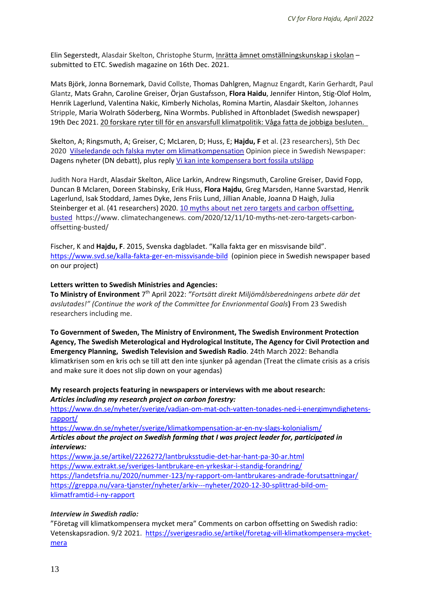Elin Segerstedt, Alasdair Skelton, Christophe Sturm, Inrätta ämnet omställningskunskap i skolan – submitted to ETC. Swedish magazine on 16th Dec. 2021.

Mats Björk, Jonna Bornemark, David Collste, Thomas Dahlgren, Magnuz Engardt, Karin Gerhardt, Paul Glantz, Mats Grahn, Caroline Greiser, Örjan Gustafsson, **Flora Haidu**, Jennifer Hinton, Stig-Olof Holm, Henrik Lagerlund, Valentina Nakic, Kimberly Nicholas, Romina Martin, Alasdair Skelton, Johannes Stripple, Maria Wolrath Söderberg, Nina Wormbs. Published in Aftonbladet (Swedish newspaper) 19th Dec 2021. 20 forskare ryter till för en ansvarsfull klimatpolitik: Våga fatta de jobbiga besluten.

Skelton, A; Ringsmuth, A; Greiser, C; McLaren, D; Huss, E; **Hajdu, F** et al. (23 researchers), 5th Dec 2020 [Vilseledande och falska myter om klimatkompensation](javascript:void(0)) Opinion piece in Swedish Newspaper: Dagens nyheter (DN debatt), plus reply [Vi kan inte kompensera bort fossila utsläpp](javascript:void(0))

Judith Nora Hardt, Alasdair Skelton, Alice Larkin, Andrew Ringsmuth, Caroline Greiser, David Fopp, Duncan B Mclaren, Doreen Stabinsky, Erik Huss, **Flora Hajdu**, Greg Marsden, Hanne Svarstad, Henrik Lagerlund, Isak Stoddard, James Dyke, Jens Friis Lund, Jillian Anable, Joanna D Haigh, Julia Steinberger et al. (41 researchers) 2020. [10 myths about net zero targets and carbon offsetting,](javascript:void(0))  [busted](javascript:void(0)) https://www. climatechangenews. com/2020/12/11/10-myths-net-zero-targets-carbonoffsetting-busted/

Fischer, K and **Hajdu, F**. 2015, Svenska dagbladet. "Kalla fakta ger en missvisande bild". <https://www.svd.se/kalla-fakta-ger-en-missvisande-bild>(opinion piece in Swedish newspaper based on our project)

#### **Letters written to Swedish Ministries and Agencies:**

To Ministry of Environment 7<sup>th</sup> April 2022: "Fortsätt direkt Miljömålsberedningens arbete där det *avslutades!" (Continue the work of the Committee for Envrionmental Goals***)** From 23 Swedish researchers including me.

**To Government of Sweden, The Ministry of Environment, The Swedish Environment Protection Agency, The Swedish Meterological and Hydrological Institute, The Agency for Civil Protection and Emergency Planning, Swedish Television and Swedish Radio**. 24th March 2022: Behandla klimatkrisen som en kris och se till att den inte sjunker på agendan (Treat the climate crisis as a crisis and make sure it does not slip down on your agendas)

#### **My research projects featuring in newspapers or interviews with me about research:** *Articles including my research project on carbon forestry:*

[https://www.dn.se/nyheter/sverige/vadjan-om-mat-och-vatten-tonades-ned-i-energimyndighetens](https://www.dn.se/nyheter/sverige/vadjan-om-mat-och-vatten-tonades-ned-i-energimyndighetens-rapport/)[rapport/](https://www.dn.se/nyheter/sverige/vadjan-om-mat-och-vatten-tonades-ned-i-energimyndighetens-rapport/) 

<https://www.dn.se/nyheter/sverige/klimatkompensation-ar-en-ny-slags-kolonialism/>

*Articles about the project on Swedish farming that I was project leader for, participated in interviews:* 

<https://www.ja.se/artikel/2226272/lantbruksstudie-det-har-hant-pa-30-ar.html> <https://www.extrakt.se/sveriges-lantbrukare-en-yrkeskar-i-standig-forandring/> <https://landetsfria.nu/2020/nummer-123/ny-rapport-om-lantbrukares-andrade-forutsattningar/> [https://greppa.nu/vara-tjanster/nyheter/arkiv---nyheter/2020-12-30-splittrad-bild-om](https://greppa.nu/vara-tjanster/nyheter/arkiv---nyheter/2020-12-30-splittrad-bild-om-klimatframtid-i-ny-rapport)[klimatframtid-i-ny-rapport](https://greppa.nu/vara-tjanster/nyheter/arkiv---nyheter/2020-12-30-splittrad-bild-om-klimatframtid-i-ny-rapport)

#### *Interview in Swedish radio:*

"Företag vill klimatkompensera mycket mera" Comments on carbon offsetting on Swedish radio: Vetenskapsradion. 9/2 2021. [https://sverigesradio.se/artikel/foretag-vill-klimatkompensera-mycket](https://sverigesradio.se/artikel/foretag-vill-klimatkompensera-mycket-mera)[mera](https://sverigesradio.se/artikel/foretag-vill-klimatkompensera-mycket-mera)